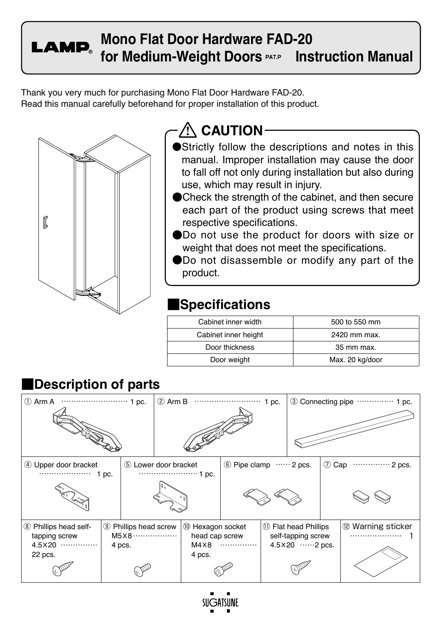**LAMP** 

**Mono Flat Door Hardware FAD-20** for Medium-Weight Doors <u>eatle.</u> Instruction Manual

Thank you very much for purchasing Mono Flat Door Hardware FAD-20. Read this manual carefully beforehand for proper installation of this product.



# **AN CAUTION-**

- Strictly follow the descriptions and notes in this manual. Improper installation may cause the door to fall off not only during installation but also during use, which may result in injury.
- ●Check the strength of the cabinet, and then secure each part of the product using screws that meet respective specifications.
- ●Do not use the product for doors with size or weight that does not meet the specifications.
- ●Do not disassemble or modify any part of the product.

## **■Specifications**

| Cabinet inner width  | 500 to 550 mm   |
|----------------------|-----------------|
| Cabinet inner height | 2420 mm max.    |
| Door thickness       | 35 mm max.      |
| Door weight          | Max. 20 kg/door |

#### ① Arm A ……………………… 1 pc. ② Arm B ……………………… 1 pc. ③ Connecting pipe …………… 1 pc. ④ Upper door bracket ………………… 1 pc. ⑤ Lower door bracket ……………………1 pc.  $\circledR$  Pipe clamp …… 2 pcs.  $\circledR$  Cap ………… 2 pcs. ⑧ Phillips head selftapping screw 4.5×20 …………… 22 pcs. ⑨ Phillips head screw M5×8……………… 4 pcs. ⑩ Hexagon socket head cap screw M4×8 …………… 4 pcs. ⑪ Flat head Phillips self-tapping screw 4.5×20 ……2 pcs. ⑫ Warning sticker ………………… 1

## **■Description of parts**

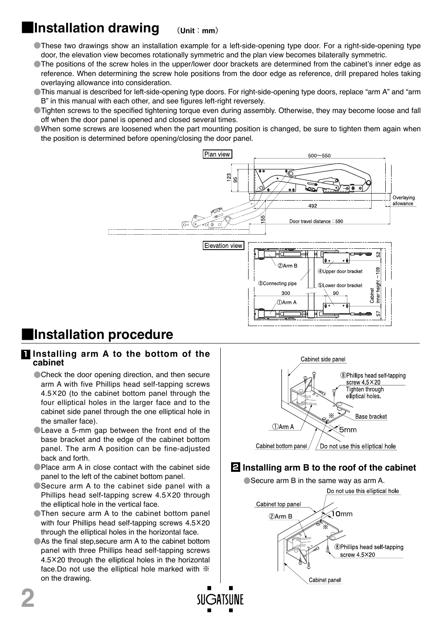## **■Installation drawing** (**Unit**:**mm**)

- ●These two drawings show an installation example for a left-side-opening type door. For a right-side-opening type door, the elevation view becomes rotationally symmetric and the plan view becomes bilaterally symmetric.
- ●The positions of the screw holes in the upper/lower door brackets are determined from the cabinet's inner edge as reference. When determining the screw hole positions from the door edge as reference, drill prepared holes taking overlaying allowance into consideration.
- This manual is described for left-side-opening type doors. For right-side-opening type doors, replace "arm A" and "arm B" in this manual with each other, and see figures left-right reversely.
- ●Tighten screws to the specified tightening torque even during assembly. Otherwise, they may become loose and fall off when the door panel is opened and closed several times.
- ●When some screws are loosened when the part mounting position is changed, be sure to tighten them again when the position is determined before opening/closing the door panel.



## **■Installation procedure**

## **1 Installing arm A to the bottom of the cabinet**

- Check the door opening direction, and then secure arm A with five Phillips head self-tapping screws 4.5×20 (to the cabinet bottom panel through the four elliptical holes in the larger face and to the cabinet side panel through the one elliptical hole in the smaller face).
- **CLeave a 5-mm gap between the front end of the** base bracket and the edge of the cabinet bottom panel. The arm A position can be fine-adjusted back and forth.
- ●Place arm A in close contact with the cabinet side panel to the left of the cabinet bottom panel.
- ●Secure arm A to the cabinet side panel with a Phillips head self-tapping screw 4.5×20 through the elliptical hole in the vertical face.
- ●Then secure arm A to the cabinet bottom panel with four Phillips head self-tapping screws 4.5×20 through the elliptical holes in the horizontal face.
- As the final step, secure arm A to the cabinet bottom panel with three Phillips head self-tapping screws 4.5×20 through the elliptical holes in the horizontal face.Do not use the elliptical hole marked with ※ on the drawing.



## **2 Installing arm B to the roof of the cabinet**

● Secure arm B in the same way as arm A.

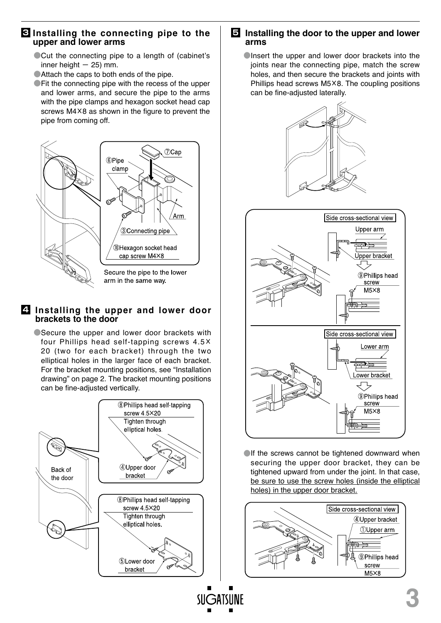### **3 Installing the connecting pipe to the upper and lower arms**

- ■Cut the connecting pipe to a length of (cabinet's inner height  $-25$ ) mm.
- ●Attach the caps to both ends of the pipe.
- **Fit the connecting pipe with the recess of the upper** and lower arms, and secure the pipe to the arms with the pipe clamps and hexagon socket head cap screws M4×8 as shown in the figure to prevent the pipe from coming off.



### **4 Installing the upper and lower door brackets to the door**

● Secure the upper and lower door brackets with four Phillips head self-tapping screws 4.5× 20 (two for each bracket) through the two elliptical holes in the larger face of each bracket. For the bracket mounting positions, see "Installation drawing" on page 2. The bracket mounting positions can be fine-adjusted vertically.



### **5 Installing the door to the upper and lower arms**

**Olnsert the upper and lower door brackets into the** joints near the connecting pipe, match the screw holes, and then secure the brackets and joints with Phillips head screws M5×8. The coupling positions can be fine-adjusted laterally.





If the screws cannot be tightened downward when securing the upper door bracket, they can be tightened upward from under the joint. In that case, be sure to use the screw holes (inside the elliptical holes) in the upper door bracket.